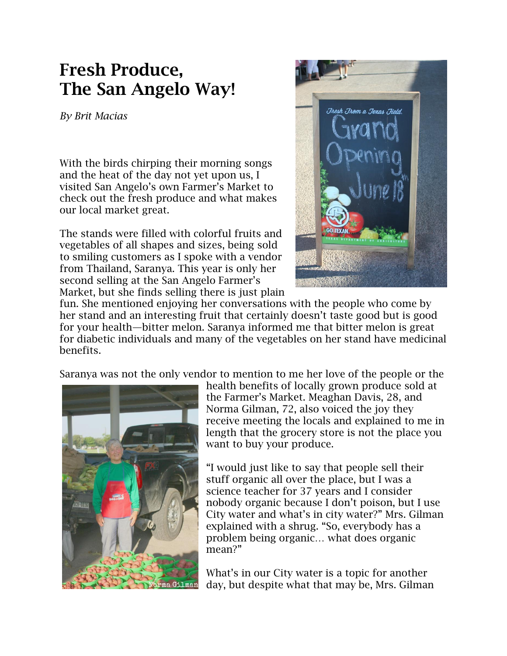## **Fresh Produce, The San Angelo Way!**

*By Brit Macias*

With the birds chirping their morning songs and the heat of the day not yet upon us, I visited San Angelo's own Farmer's Market to check out the fresh produce and what makes our local market great.

The stands were filled with colorful fruits and vegetables of all shapes and sizes, being sold to smiling customers as I spoke with a vendor from Thailand, Saranya. This year is only her second selling at the San Angelo Farmer's Market, but she finds selling there is just plain



fun. She mentioned enjoying her conversations with the people who come by her stand and an interesting fruit that certainly doesn't taste good but is good for your health—bitter melon. Saranya informed me that bitter melon is great for diabetic individuals and many of the vegetables on her stand have medicinal benefits.

Saranya was not the only vendor to mention to me her love of the people or the



health benefits of locally grown produce sold at the Farmer's Market. Meaghan Davis, 28, and Norma Gilman, 72, also voiced the joy they receive meeting the locals and explained to me in length that the grocery store is not the place you want to buy your produce.

"I would just like to say that people sell their stuff organic all over the place, but I was a science teacher for 37 years and I consider nobody organic because I don't poison, but I use City water and what's in city water?" Mrs. Gilman explained with a shrug. "So, everybody has a problem being organic… what does organic mean?"

What's in our City water is a topic for another day, but despite what that may be, Mrs. Gilman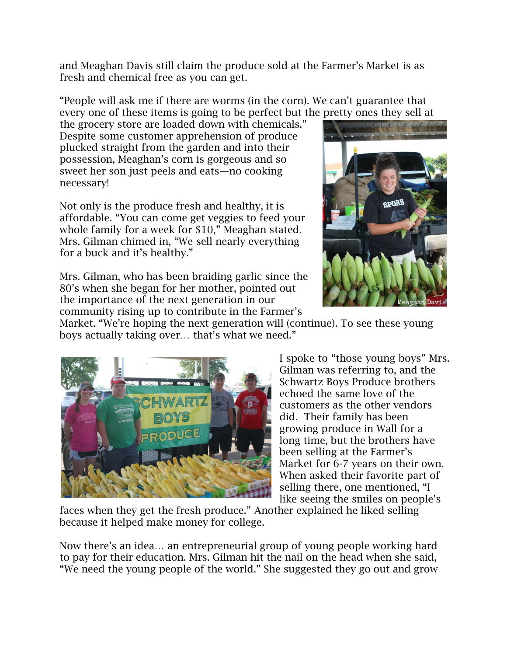and Meaghan Davis still claim the produce sold at the Farmer's Market is as fresh and chemical free as you can get.

"People will ask me if there are worms (in the corn). We can't guarantee that every one of these items is going to be perfect but the pretty ones they sell at

the grocery store are loaded down with chemicals." Despite some customer apprehension of produce plucked straight from the garden and into their possession, Meaghan's corn is gorgeous and so sweet her son just peels and eats—no cooking necessary!

Not only is the produce fresh and healthy, it is affordable. "You can come get veggies to feed your whole family for a week for \$10," Meaghan stated. Mrs. Gilman chimed in, "We sell nearly everything for a buck and it's healthy."



Mrs. Gilman, who has been braiding garlic since the 80's when she began for her mother, pointed out the importance of the next generation in our community rising up to contribute in the Farmer's

Market. "We're hoping the next generation will (continue). To see these young boys actually taking over… that's what we need."



I spoke to "those young boys" Mrs. Gilman was referring to, and the Schwartz Boys Produce brothers echoed the same love of the customers as the other vendors did. Their family has been growing produce in Wall for a long time, but the brothers have been selling at the Farmer's Market for 6-7 years on their own. When asked their favorite part of selling there, one mentioned, "I like seeing the smiles on people's

faces when they get the fresh produce." Another explained he liked selling because it helped make money for college.

Now there's an idea… an entrepreneurial group of young people working hard to pay for their education. Mrs. Gilman hit the nail on the head when she said, "We need the young people of the world." She suggested they go out and grow